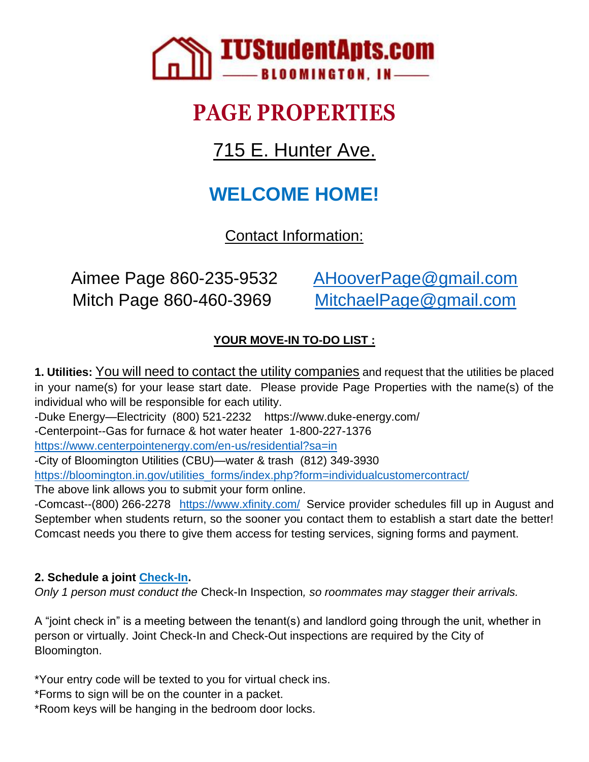

# **PAGE PROPERTIES**

715 E. Hunter Ave.

## **WELCOME HOME!**

Contact Information:

Aimee Page 860-235-9532 [AHooverPage@gmail.com](mailto:AHooverPage@gmail.com) Mitch Page 860-460-3969 [MitchaelPage@gmail.com](mailto:MitchaelPage@gmail.com)

### **YOUR MOVE-IN TO-DO LIST :**

**1. Utilities:** You will need to contact the utility companies and request that the utilities be placed in your name(s) for your lease start date. Please provide Page Properties with the name(s) of the individual who will be responsible for each utility. -Duke Energy—Electricity (800) 521-2232 https://www.duke-energy.com/

-Centerpoint--Gas for furnace & hot water heater 1-800-227-1376

<https://www.centerpointenergy.com/en-us/residential?sa=in>

-City of Bloomington Utilities (CBU)—water & trash (812) 349-3930

[https://bloomington.in.gov/utilities\\_forms/index.php?form=individualcustomercontract/](https://bloomington.in.gov/utilities_forms/index.php?form=individualcustomercontract/)

The above link allows you to submit your form online.

-Comcast--(800) 266-2278 <https://www.xfinity.com/> Service provider schedules fill up in August and September when students return, so the sooner you contact them to establish a start date the better! Comcast needs you there to give them access for testing services, signing forms and payment.

#### **2. Schedule a joint [Check-In.](https://docs.google.com/spreadsheets/d/1z8hJ2M80sDJfa7ZzQZCw8CHTu85kFSvb5JmIEA8GiPg/edit#gid=0)**

*Only 1 person must conduct the* Check-In Inspection*, so roommates may stagger their arrivals.*

A "joint check in" is a meeting between the tenant(s) and landlord going through the unit, whether in person or virtually. Joint Check-In and Check-Out inspections are required by the City of Bloomington.

\*Your entry code will be texted to you for virtual check ins.

\*Forms to sign will be on the counter in a packet.

\*Room keys will be hanging in the bedroom door locks.